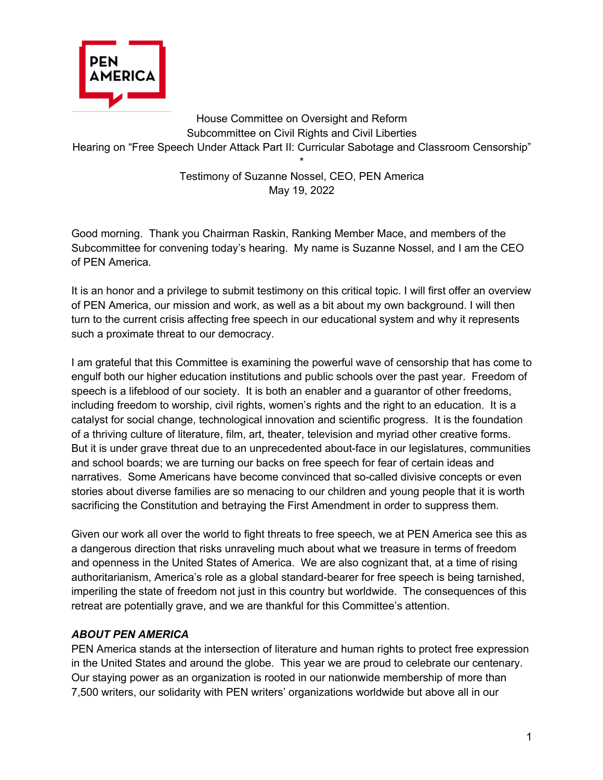

House Committee on Oversight and Reform Subcommittee on Civil Rights and Civil Liberties Hearing on "Free Speech Under Attack Part II: Curricular Sabotage and Classroom Censorship" \*

> Testimony of Suzanne Nossel, CEO, PEN America May 19, 2022

Good morning. Thank you Chairman Raskin, Ranking Member Mace, and members of the Subcommittee for convening today's hearing. My name is Suzanne Nossel, and I am the CEO of PEN America.

It is an honor and a privilege to submit testimony on this critical topic. I will first offer an overview of PEN America, our mission and work, as well as a bit about my own background. I will then turn to the current crisis affecting free speech in our educational system and why it represents such a proximate threat to our democracy.

I am grateful that this Committee is examining the powerful wave of censorship that has come to engulf both our higher education institutions and public schools over the past year. Freedom of speech is a lifeblood of our society. It is both an enabler and a guarantor of other freedoms, including freedom to worship, civil rights, women's rights and the right to an education. It is a catalyst for social change, technological innovation and scientific progress. It is the foundation of a thriving culture of literature, film, art, theater, television and myriad other creative forms. But it is under grave threat due to an unprecedented about-face in our legislatures, communities and school boards; we are turning our backs on free speech for fear of certain ideas and narratives. Some Americans have become convinced that so-called divisive concepts or even stories about diverse families are so menacing to our children and young people that it is worth sacrificing the Constitution and betraying the First Amendment in order to suppress them.

Given our work all over the world to fight threats to free speech, we at PEN America see this as a dangerous direction that risks unraveling much about what we treasure in terms of freedom and openness in the United States of America. We are also cognizant that, at a time of rising authoritarianism, America's role as a global standard-bearer for free speech is being tarnished, imperiling the state of freedom not just in this country but worldwide. The consequences of this retreat are potentially grave, and we are thankful for this Committee's attention.

## *ABOUT PEN AMERICA*

PEN America stands at the intersection of literature and human rights to protect free expression in the United States and around the globe. This year we are proud to celebrate our centenary. Our staying power as an organization is rooted in our nationwide membership of more than 7,500 writers, our solidarity with PEN writers' organizations worldwide but above all in our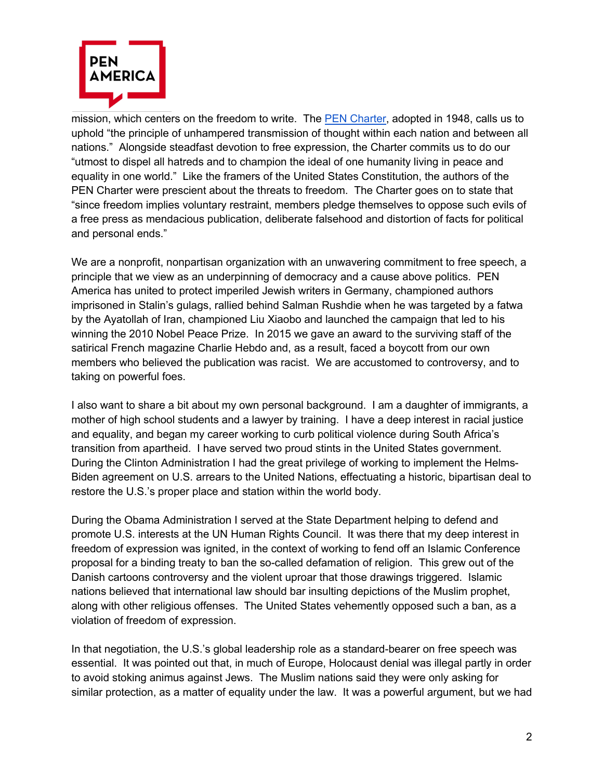

mission, which centers on the freedom to write. The PEN Charter, adopted in 1948, calls us to uphold "the principle of unhampered transmission of thought within each nation and between all nations." Alongside steadfast devotion to free expression, the Charter commits us to do our "utmost to dispel all hatreds and to champion the ideal of one humanity living in peace and equality in one world." Like the framers of the United States Constitution, the authors of the PEN Charter were prescient about the threats to freedom. The Charter goes on to state that "since freedom implies voluntary restraint, members pledge themselves to oppose such evils of a free press as mendacious publication, deliberate falsehood and distortion of facts for political and personal ends."

We are a nonprofit, nonpartisan organization with an unwavering commitment to free speech, a principle that we view as an underpinning of democracy and a cause above politics. PEN America has united to protect imperiled Jewish writers in Germany, championed authors imprisoned in Stalin's gulags, rallied behind Salman Rushdie when he was targeted by a fatwa by the Ayatollah of Iran, championed Liu Xiaobo and launched the campaign that led to his winning the 2010 Nobel Peace Prize. In 2015 we gave an award to the surviving staff of the satirical French magazine Charlie Hebdo and, as a result, faced a boycott from our own members who believed the publication was racist. We are accustomed to controversy, and to taking on powerful foes.

I also want to share a bit about my own personal background. I am a daughter of immigrants, a mother of high school students and a lawyer by training. I have a deep interest in racial justice and equality, and began my career working to curb political violence during South Africa's transition from apartheid. I have served two proud stints in the United States government. During the Clinton Administration I had the great privilege of working to implement the Helms-Biden agreement on U.S. arrears to the United Nations, effectuating a historic, bipartisan deal to restore the U.S.'s proper place and station within the world body.

During the Obama Administration I served at the State Department helping to defend and promote U.S. interests at the UN Human Rights Council. It was there that my deep interest in freedom of expression was ignited, in the context of working to fend off an Islamic Conference proposal for a binding treaty to ban the so-called defamation of religion. This grew out of the Danish cartoons controversy and the violent uproar that those drawings triggered. Islamic nations believed that international law should bar insulting depictions of the Muslim prophet, along with other religious offenses. The United States vehemently opposed such a ban, as a violation of freedom of expression.

In that negotiation, the U.S.'s global leadership role as a standard-bearer on free speech was essential. It was pointed out that, in much of Europe, Holocaust denial was illegal partly in order to avoid stoking animus against Jews. The Muslim nations said they were only asking for similar protection, as a matter of equality under the law. It was a powerful argument, but we had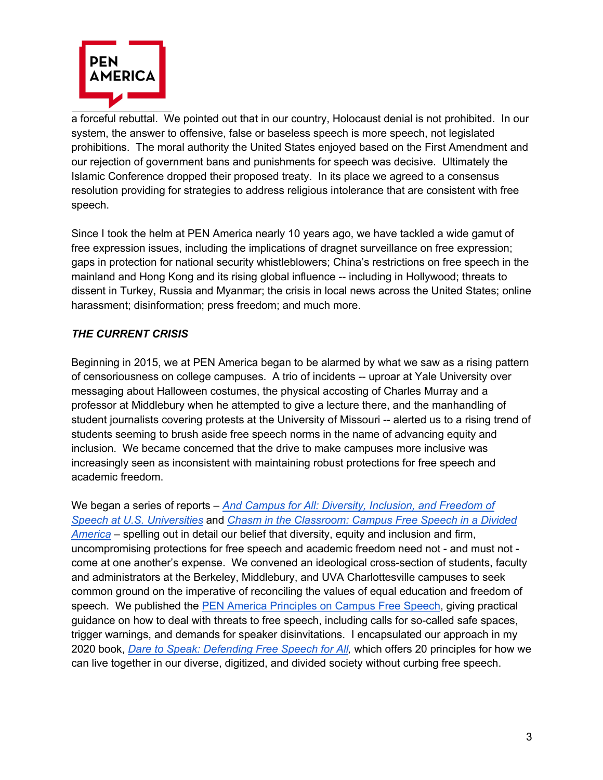

a forceful rebuttal. We pointed out that in our country, Holocaust denial is not prohibited. In our system, the answer to offensive, false or baseless speech is more speech, not legislated prohibitions. The moral authority the United States enjoyed based on the First Amendment and our rejection of government bans and punishments for speech was decisive. Ultimately the Islamic Conference dropped their proposed treaty. In its place we agreed to a consensus resolution providing for strategies to address religious intolerance that are consistent with free speech.

Since I took the helm at PEN America nearly 10 years ago, we have tackled a wide gamut of free expression issues, including the implications of dragnet surveillance on free expression; gaps in protection for national security whistleblowers; China's restrictions on free speech in the mainland and Hong Kong and its rising global influence -- including in Hollywood; threats to dissent in Turkey, Russia and Myanmar; the crisis in local news across the United States; online harassment; disinformation; press freedom; and much more.

## *THE CURRENT CRISIS*

Beginning in 2015, we at PEN America began to be alarmed by what we saw as a rising pattern of censoriousness on college campuses. A trio of incidents -- uproar at Yale University over messaging about Halloween costumes, the physical accosting of Charles Murray and a professor at Middlebury when he attempted to give a lecture there, and the manhandling of student journalists covering protests at the University of Missouri -- alerted us to a rising trend of students seeming to brush aside free speech norms in the name of advancing equity and inclusion. We became concerned that the drive to make campuses more inclusive was increasingly seen as inconsistent with maintaining robust protections for free speech and academic freedom.

We began a series of reports – *And Campus for All: Diversity, Inclusion, and Freedom of Speech at U.S. Universities* and *Chasm in the Classroom: Campus Free Speech in a Divided America* – spelling out in detail our belief that diversity, equity and inclusion and firm, uncompromising protections for free speech and academic freedom need not - and must not come at one another's expense. We convened an ideological cross-section of students, faculty and administrators at the Berkeley, Middlebury, and UVA Charlottesville campuses to seek common ground on the imperative of reconciling the values of equal education and freedom of speech. We published the PEN America Principles on Campus Free Speech, giving practical guidance on how to deal with threats to free speech, including calls for so-called safe spaces, trigger warnings, and demands for speaker disinvitations. I encapsulated our approach in my 2020 book, *Dare to Speak: Defending Free Speech for All,* which offers 20 principles for how we can live together in our diverse, digitized, and divided society without curbing free speech.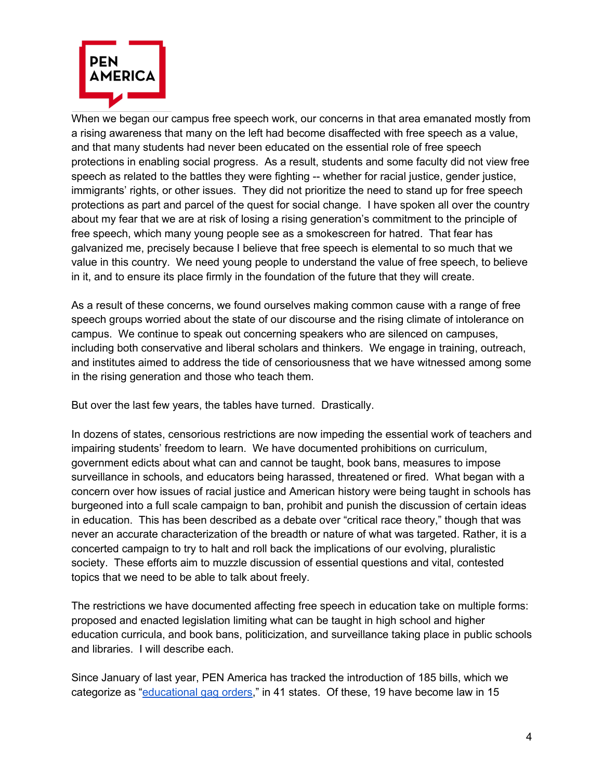

When we began our campus free speech work, our concerns in that area emanated mostly from a rising awareness that many on the left had become disaffected with free speech as a value, and that many students had never been educated on the essential role of free speech protections in enabling social progress. As a result, students and some faculty did not view free speech as related to the battles they were fighting -- whether for racial justice, gender justice, immigrants' rights, or other issues. They did not prioritize the need to stand up for free speech protections as part and parcel of the quest for social change. I have spoken all over the country about my fear that we are at risk of losing a rising generation's commitment to the principle of free speech, which many young people see as a smokescreen for hatred. That fear has galvanized me, precisely because I believe that free speech is elemental to so much that we value in this country. We need young people to understand the value of free speech, to believe in it, and to ensure its place firmly in the foundation of the future that they will create.

As a result of these concerns, we found ourselves making common cause with a range of free speech groups worried about the state of our discourse and the rising climate of intolerance on campus. We continue to speak out concerning speakers who are silenced on campuses, including both conservative and liberal scholars and thinkers. We engage in training, outreach, and institutes aimed to address the tide of censoriousness that we have witnessed among some in the rising generation and those who teach them.

But over the last few years, the tables have turned. Drastically.

In dozens of states, censorious restrictions are now impeding the essential work of teachers and impairing students' freedom to learn. We have documented prohibitions on curriculum, government edicts about what can and cannot be taught, book bans, measures to impose surveillance in schools, and educators being harassed, threatened or fired. What began with a concern over how issues of racial justice and American history were being taught in schools has burgeoned into a full scale campaign to ban, prohibit and punish the discussion of certain ideas in education. This has been described as a debate over "critical race theory," though that was never an accurate characterization of the breadth or nature of what was targeted. Rather, it is a concerted campaign to try to halt and roll back the implications of our evolving, pluralistic society. These efforts aim to muzzle discussion of essential questions and vital, contested topics that we need to be able to talk about freely.

The restrictions we have documented affecting free speech in education take on multiple forms: proposed and enacted legislation limiting what can be taught in high school and higher education curricula, and book bans, politicization, and surveillance taking place in public schools and libraries. I will describe each.

Since January of last year, PEN America has tracked the introduction of 185 bills, which we categorize as "educational gag orders," in 41 states. Of these, 19 have become law in 15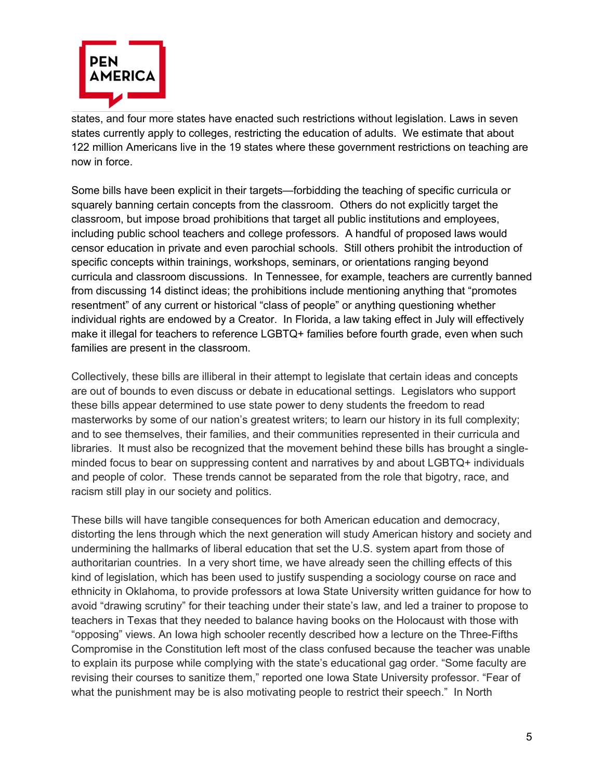

states, and four more states have enacted such restrictions without legislation. Laws in seven states currently apply to colleges, restricting the education of adults. We estimate that about 122 million Americans live in the 19 states where these government restrictions on teaching are now in force.

Some bills have been explicit in their targets—forbidding the teaching of specific curricula or squarely banning certain concepts from the classroom. Others do not explicitly target the classroom, but impose broad prohibitions that target all public institutions and employees, including public school teachers and college professors. A handful of proposed laws would censor education in private and even parochial schools. Still others prohibit the introduction of specific concepts within trainings, workshops, seminars, or orientations ranging beyond curricula and classroom discussions. In Tennessee, for example, teachers are currently banned from discussing 14 distinct ideas; the prohibitions include mentioning anything that "promotes resentment" of any current or historical "class of people" or anything questioning whether individual rights are endowed by a Creator. In Florida, a law taking effect in July will effectively make it illegal for teachers to reference LGBTQ+ families before fourth grade, even when such families are present in the classroom.

Collectively, these bills are illiberal in their attempt to legislate that certain ideas and concepts are out of bounds to even discuss or debate in educational settings. Legislators who support these bills appear determined to use state power to deny students the freedom to read masterworks by some of our nation's greatest writers; to learn our history in its full complexity; and to see themselves, their families, and their communities represented in their curricula and libraries. It must also be recognized that the movement behind these bills has brought a singleminded focus to bear on suppressing content and narratives by and about LGBTQ+ individuals and people of color. These trends cannot be separated from the role that bigotry, race, and racism still play in our society and politics.

These bills will have tangible consequences for both American education and democracy, distorting the lens through which the next generation will study American history and society and undermining the hallmarks of liberal education that set the U.S. system apart from those of authoritarian countries. In a very short time, we have already seen the chilling effects of this kind of legislation, which has been used to justify suspending a sociology course on race and ethnicity in Oklahoma, to provide professors at Iowa State University written guidance for how to avoid "drawing scrutiny" for their teaching under their state's law, and led a trainer to propose to teachers in Texas that they needed to balance having books on the Holocaust with those with "opposing" views. An Iowa high schooler recently described how a lecture on the Three-Fifths Compromise in the Constitution left most of the class confused because the teacher was unable to explain its purpose while complying with the state's educational gag order. "Some faculty are revising their courses to sanitize them," reported one Iowa State University professor. "Fear of what the punishment may be is also motivating people to restrict their speech." In North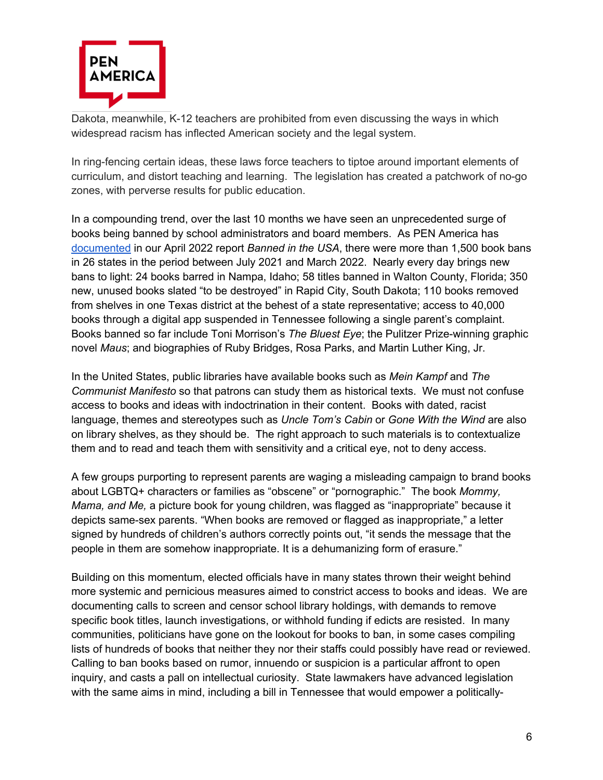

Dakota, meanwhile, K-12 teachers are prohibited from even discussing the ways in which widespread racism has inflected American society and the legal system.

In ring-fencing certain ideas, these laws force teachers to tiptoe around important elements of curriculum, and distort teaching and learning. The legislation has created a patchwork of no-go zones, with perverse results for public education.

In a compounding trend, over the last 10 months we have seen an unprecedented surge of books being banned by school administrators and board members. As PEN America has documented in our April 2022 report *Banned in the USA*, there were more than 1,500 book bans in 26 states in the period between July 2021 and March 2022. Nearly every day brings new bans to light: 24 books barred in Nampa, Idaho; 58 titles banned in Walton County, Florida; 350 new, unused books slated "to be destroyed" in Rapid City, South Dakota; 110 books removed from shelves in one Texas district at the behest of a state representative; access to 40,000 books through a digital app suspended in Tennessee following a single parent's complaint. Books banned so far include Toni Morrison's *The Bluest Eye*; the Pulitzer Prize-winning graphic novel *Maus*; and biographies of Ruby Bridges, Rosa Parks, and Martin Luther King, Jr.

In the United States, public libraries have available books such as *Mein Kampf* and *The Communist Manifesto* so that patrons can study them as historical texts. We must not confuse access to books and ideas with indoctrination in their content. Books with dated, racist language, themes and stereotypes such as *Uncle Tom's Cabin* or *Gone With the Wind* are also on library shelves, as they should be. The right approach to such materials is to contextualize them and to read and teach them with sensitivity and a critical eye, not to deny access.

A few groups purporting to represent parents are waging a misleading campaign to brand books about LGBTQ+ characters or families as "obscene" or "pornographic." The book *Mommy, Mama, and Me,* a picture book for young children, was flagged as "inappropriate" because it depicts same-sex parents. "When books are removed or flagged as inappropriate," a letter signed by hundreds of children's authors correctly points out, "it sends the message that the people in them are somehow inappropriate. It is a dehumanizing form of erasure."

Building on this momentum, elected officials have in many states thrown their weight behind more systemic and pernicious measures aimed to constrict access to books and ideas. We are documenting calls to screen and censor school library holdings, with demands to remove specific book titles, launch investigations, or withhold funding if edicts are resisted. In many communities, politicians have gone on the lookout for books to ban, in some cases compiling lists of hundreds of books that neither they nor their staffs could possibly have read or reviewed. Calling to ban books based on rumor, innuendo or suspicion is a particular affront to open inquiry, and casts a pall on intellectual curiosity. State lawmakers have advanced legislation with the same aims in mind, including a bill in Tennessee that would empower a politically-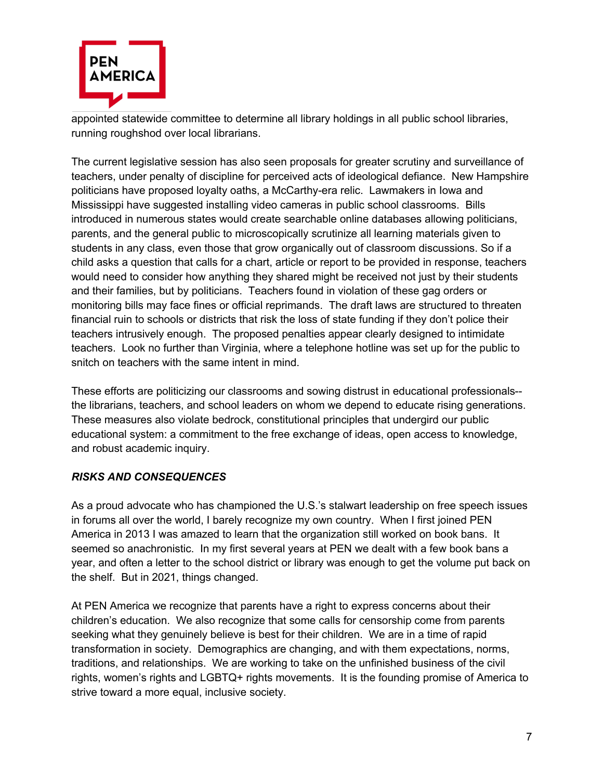

appointed statewide committee to determine all library holdings in all public school libraries, running roughshod over local librarians.

The current legislative session has also seen proposals for greater scrutiny and surveillance of teachers, under penalty of discipline for perceived acts of ideological defiance. New Hampshire politicians have proposed loyalty oaths, a McCarthy-era relic. Lawmakers in Iowa and Mississippi have suggested installing video cameras in public school classrooms. Bills introduced in numerous states would create searchable online databases allowing politicians, parents, and the general public to microscopically scrutinize all learning materials given to students in any class, even those that grow organically out of classroom discussions. So if a child asks a question that calls for a chart, article or report to be provided in response, teachers would need to consider how anything they shared might be received not just by their students and their families, but by politicians. Teachers found in violation of these gag orders or monitoring bills may face fines or official reprimands. The draft laws are structured to threaten financial ruin to schools or districts that risk the loss of state funding if they don't police their teachers intrusively enough. The proposed penalties appear clearly designed to intimidate teachers. Look no further than Virginia, where a telephone hotline was set up for the public to snitch on teachers with the same intent in mind.

These efforts are politicizing our classrooms and sowing distrust in educational professionals- the librarians, teachers, and school leaders on whom we depend to educate rising generations. These measures also violate bedrock, constitutional principles that undergird our public educational system: a commitment to the free exchange of ideas, open access to knowledge, and robust academic inquiry.

## *RISKS AND CONSEQUENCES*

As a proud advocate who has championed the U.S.'s stalwart leadership on free speech issues in forums all over the world, I barely recognize my own country. When I first joined PEN America in 2013 I was amazed to learn that the organization still worked on book bans. It seemed so anachronistic. In my first several years at PEN we dealt with a few book bans a year, and often a letter to the school district or library was enough to get the volume put back on the shelf. But in 2021, things changed.

At PEN America we recognize that parents have a right to express concerns about their children's education. We also recognize that some calls for censorship come from parents seeking what they genuinely believe is best for their children. We are in a time of rapid transformation in society. Demographics are changing, and with them expectations, norms, traditions, and relationships. We are working to take on the unfinished business of the civil rights, women's rights and LGBTQ+ rights movements. It is the founding promise of America to strive toward a more equal, inclusive society.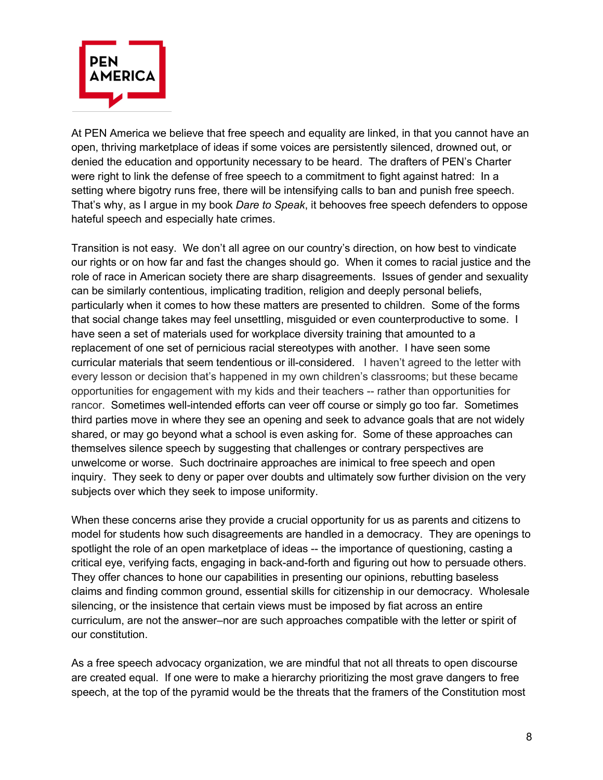

At PEN America we believe that free speech and equality are linked, in that you cannot have an open, thriving marketplace of ideas if some voices are persistently silenced, drowned out, or denied the education and opportunity necessary to be heard. The drafters of PEN's Charter were right to link the defense of free speech to a commitment to fight against hatred: In a setting where bigotry runs free, there will be intensifying calls to ban and punish free speech. That's why, as I argue in my book *Dare to Speak*, it behooves free speech defenders to oppose hateful speech and especially hate crimes.

Transition is not easy. We don't all agree on our country's direction, on how best to vindicate our rights or on how far and fast the changes should go. When it comes to racial justice and the role of race in American society there are sharp disagreements. Issues of gender and sexuality can be similarly contentious, implicating tradition, religion and deeply personal beliefs, particularly when it comes to how these matters are presented to children. Some of the forms that social change takes may feel unsettling, misguided or even counterproductive to some. I have seen a set of materials used for workplace diversity training that amounted to a replacement of one set of pernicious racial stereotypes with another. I have seen some curricular materials that seem tendentious or ill-considered. I haven't agreed to the letter with every lesson or decision that's happened in my own children's classrooms; but these became opportunities for engagement with my kids and their teachers -- rather than opportunities for rancor. Sometimes well-intended efforts can veer off course or simply go too far. Sometimes third parties move in where they see an opening and seek to advance goals that are not widely shared, or may go beyond what a school is even asking for. Some of these approaches can themselves silence speech by suggesting that challenges or contrary perspectives are unwelcome or worse. Such doctrinaire approaches are inimical to free speech and open inquiry. They seek to deny or paper over doubts and ultimately sow further division on the very subjects over which they seek to impose uniformity.

When these concerns arise they provide a crucial opportunity for us as parents and citizens to model for students how such disagreements are handled in a democracy. They are openings to spotlight the role of an open marketplace of ideas -- the importance of questioning, casting a critical eye, verifying facts, engaging in back-and-forth and figuring out how to persuade others. They offer chances to hone our capabilities in presenting our opinions, rebutting baseless claims and finding common ground, essential skills for citizenship in our democracy. Wholesale silencing, or the insistence that certain views must be imposed by fiat across an entire curriculum, are not the answer–nor are such approaches compatible with the letter or spirit of our constitution.

As a free speech advocacy organization, we are mindful that not all threats to open discourse are created equal. If one were to make a hierarchy prioritizing the most grave dangers to free speech, at the top of the pyramid would be the threats that the framers of the Constitution most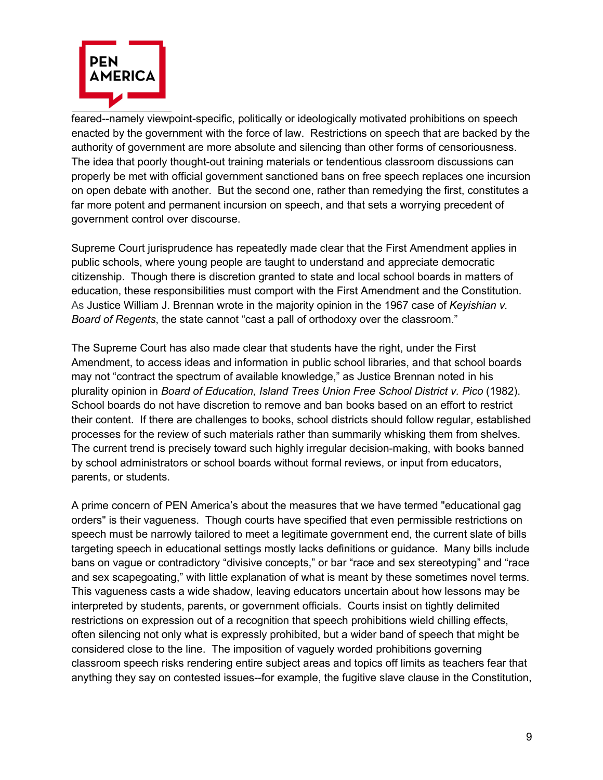

feared--namely viewpoint-specific, politically or ideologically motivated prohibitions on speech enacted by the government with the force of law. Restrictions on speech that are backed by the authority of government are more absolute and silencing than other forms of censoriousness. The idea that poorly thought-out training materials or tendentious classroom discussions can properly be met with official government sanctioned bans on free speech replaces one incursion on open debate with another. But the second one, rather than remedying the first, constitutes a far more potent and permanent incursion on speech, and that sets a worrying precedent of government control over discourse.

Supreme Court jurisprudence has repeatedly made clear that the First Amendment applies in public schools, where young people are taught to understand and appreciate democratic citizenship. Though there is discretion granted to state and local school boards in matters of education, these responsibilities must comport with the First Amendment and the Constitution. As Justice William J. Brennan wrote in the majority opinion in the 1967 case of *Keyishian v. Board of Regents*, the state cannot "cast a pall of orthodoxy over the classroom."

The Supreme Court has also made clear that students have the right, under the First Amendment, to access ideas and information in public school libraries, and that school boards may not "contract the spectrum of available knowledge," as Justice Brennan noted in his plurality opinion in *Board of Education, Island Trees Union Free School District v. Pico* (1982). School boards do not have discretion to remove and ban books based on an effort to restrict their content. If there are challenges to books, school districts should follow regular, established processes for the review of such materials rather than summarily whisking them from shelves. The current trend is precisely toward such highly irregular decision-making, with books banned by school administrators or school boards without formal reviews, or input from educators, parents, or students.

A prime concern of PEN America's about the measures that we have termed "educational gag orders" is their vagueness. Though courts have specified that even permissible restrictions on speech must be narrowly tailored to meet a legitimate government end, the current slate of bills targeting speech in educational settings mostly lacks definitions or guidance. Many bills include bans on vague or contradictory "divisive concepts," or bar "race and sex stereotyping" and "race and sex scapegoating," with little explanation of what is meant by these sometimes novel terms. This vagueness casts a wide shadow, leaving educators uncertain about how lessons may be interpreted by students, parents, or government officials. Courts insist on tightly delimited restrictions on expression out of a recognition that speech prohibitions wield chilling effects, often silencing not only what is expressly prohibited, but a wider band of speech that might be considered close to the line. The imposition of vaguely worded prohibitions governing classroom speech risks rendering entire subject areas and topics off limits as teachers fear that anything they say on contested issues--for example, the fugitive slave clause in the Constitution,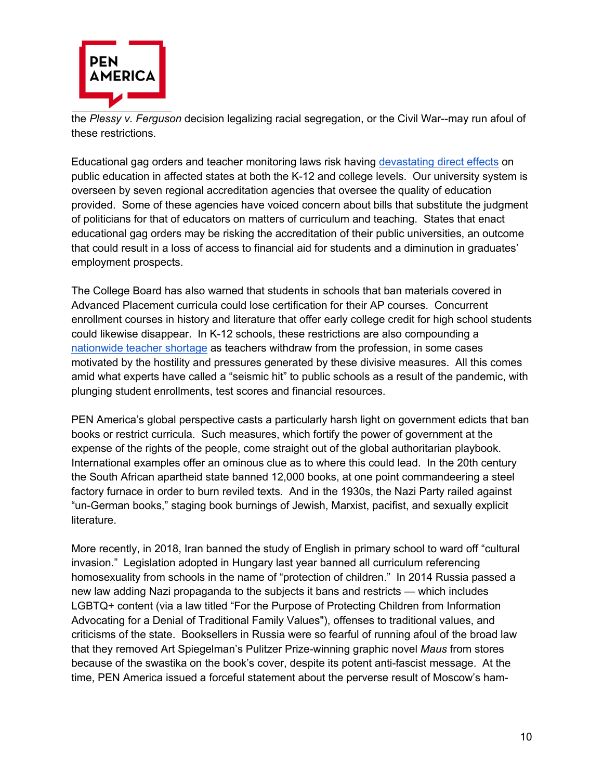

the *Plessy v. Ferguson* decision legalizing racial segregation, or the Civil War--may run afoul of these restrictions.

Educational gag orders and teacher monitoring laws risk having devastating direct effects on public education in affected states at both the K-12 and college levels. Our university system is overseen by seven regional accreditation agencies that oversee the quality of education provided. Some of these agencies have voiced concern about bills that substitute the judgment of politicians for that of educators on matters of curriculum and teaching. States that enact educational gag orders may be risking the accreditation of their public universities, an outcome that could result in a loss of access to financial aid for students and a diminution in graduates' employment prospects.

The College Board has also warned that students in schools that ban materials covered in Advanced Placement curricula could lose certification for their AP courses. Concurrent enrollment courses in history and literature that offer early college credit for high school students could likewise disappear. In K-12 schools, these restrictions are also compounding a nationwide teacher shortage as teachers withdraw from the profession, in some cases motivated by the hostility and pressures generated by these divisive measures. All this comes amid what experts have called a "seismic hit" to public schools as a result of the pandemic, with plunging student enrollments, test scores and financial resources.

PEN America's global perspective casts a particularly harsh light on government edicts that ban books or restrict curricula. Such measures, which fortify the power of government at the expense of the rights of the people, come straight out of the global authoritarian playbook. International examples offer an ominous clue as to where this could lead. In the 20th century the South African apartheid state banned 12,000 books, at one point commandeering a steel factory furnace in order to burn reviled texts. And in the 1930s, the Nazi Party railed against "un-German books," staging book burnings of Jewish, Marxist, pacifist, and sexually explicit literature.

More recently, in 2018, Iran banned the study of English in primary school to ward off "cultural invasion." Legislation adopted in Hungary last year banned all curriculum referencing homosexuality from schools in the name of "protection of children." In 2014 Russia passed a new law adding Nazi propaganda to the subjects it bans and restricts — which includes LGBTQ+ content (via a law titled "For the Purpose of Protecting Children from Information Advocating for a Denial of Traditional Family Values"), offenses to traditional values, and criticisms of the state. Booksellers in Russia were so fearful of running afoul of the broad law that they removed Art Spiegelman's Pulitzer Prize-winning graphic novel *Maus* from stores because of the swastika on the book's cover, despite its potent anti-fascist message. At the time, PEN America issued a forceful statement about the perverse result of Moscow's ham-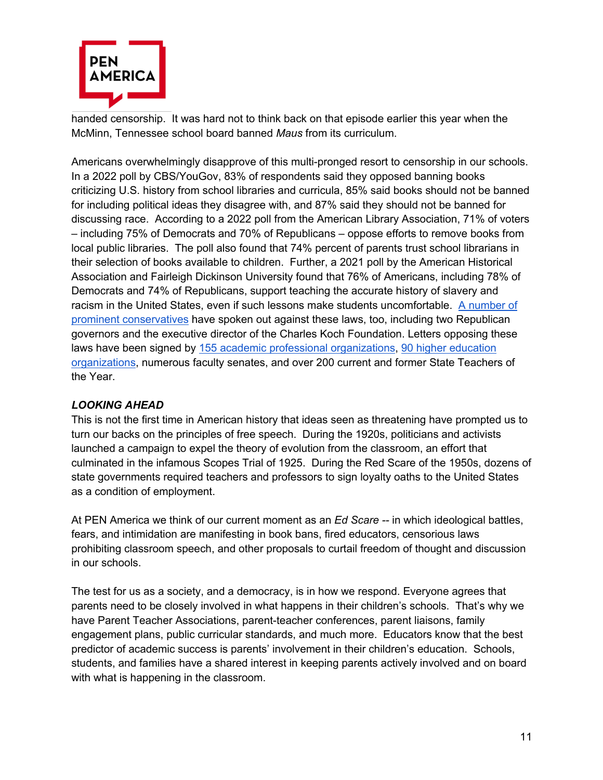

handed censorship. It was hard not to think back on that episode earlier this year when the McMinn, Tennessee school board banned *Maus* from its curriculum.

Americans overwhelmingly disapprove of this multi-pronged resort to censorship in our schools. In a 2022 poll by CBS/YouGov, 83% of respondents said they opposed banning books criticizing U.S. history from school libraries and curricula, 85% said books should not be banned for including political ideas they disagree with, and 87% said they should not be banned for discussing race. According to a 2022 poll from the American Library Association, 71% of voters – including 75% of Democrats and 70% of Republicans – oppose efforts to remove books from local public libraries. The poll also found that 74% percent of parents trust school librarians in their selection of books available to children. Further, a 2021 poll by the American Historical Association and Fairleigh Dickinson University found that 76% of Americans, including 78% of Democrats and 74% of Republicans, support teaching the accurate history of slavery and racism in the United States, even if such lessons make students uncomfortable. A number of prominent conservatives have spoken out against these laws, too, including two Republican governors and the executive director of the Charles Koch Foundation. Letters opposing these laws have been signed by 155 academic professional organizations, 90 higher education organizations, numerous faculty senates, and over 200 current and former State Teachers of the Year.

## *LOOKING AHEAD*

This is not the first time in American history that ideas seen as threatening have prompted us to turn our backs on the principles of free speech. During the 1920s, politicians and activists launched a campaign to expel the theory of evolution from the classroom, an effort that culminated in the infamous Scopes Trial of 1925. During the Red Scare of the 1950s, dozens of state governments required teachers and professors to sign loyalty oaths to the United States as a condition of employment.

At PEN America we think of our current moment as an *Ed Scare --* in which ideological battles, fears, and intimidation are manifesting in book bans, fired educators, censorious laws prohibiting classroom speech, and other proposals to curtail freedom of thought and discussion in our schools.

The test for us as a society, and a democracy, is in how we respond. Everyone agrees that parents need to be closely involved in what happens in their children's schools. That's why we have Parent Teacher Associations, parent-teacher conferences, parent liaisons, family engagement plans, public curricular standards, and much more. Educators know that the best predictor of academic success is parents' involvement in their children's education. Schools, students, and families have a shared interest in keeping parents actively involved and on board with what is happening in the classroom.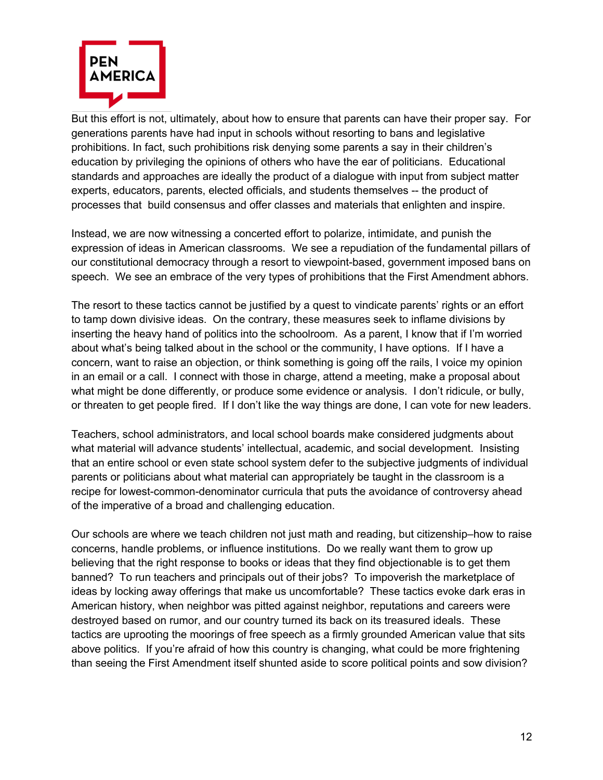

But this effort is not, ultimately, about how to ensure that parents can have their proper say. For generations parents have had input in schools without resorting to bans and legislative prohibitions. In fact, such prohibitions risk denying some parents a say in their children's education by privileging the opinions of others who have the ear of politicians. Educational standards and approaches are ideally the product of a dialogue with input from subject matter experts, educators, parents, elected officials, and students themselves -- the product of processes that build consensus and offer classes and materials that enlighten and inspire.

Instead, we are now witnessing a concerted effort to polarize, intimidate, and punish the expression of ideas in American classrooms. We see a repudiation of the fundamental pillars of our constitutional democracy through a resort to viewpoint-based, government imposed bans on speech. We see an embrace of the very types of prohibitions that the First Amendment abhors.

The resort to these tactics cannot be justified by a quest to vindicate parents' rights or an effort to tamp down divisive ideas. On the contrary, these measures seek to inflame divisions by inserting the heavy hand of politics into the schoolroom. As a parent, I know that if I'm worried about what's being talked about in the school or the community, I have options. If I have a concern, want to raise an objection, or think something is going off the rails, I voice my opinion in an email or a call. I connect with those in charge, attend a meeting, make a proposal about what might be done differently, or produce some evidence or analysis. I don't ridicule, or bully, or threaten to get people fired. If I don't like the way things are done, I can vote for new leaders.

Teachers, school administrators, and local school boards make considered judgments about what material will advance students' intellectual, academic, and social development. Insisting that an entire school or even state school system defer to the subjective judgments of individual parents or politicians about what material can appropriately be taught in the classroom is a recipe for lowest-common-denominator curricula that puts the avoidance of controversy ahead of the imperative of a broad and challenging education.

Our schools are where we teach children not just math and reading, but citizenship–how to raise concerns, handle problems, or influence institutions. Do we really want them to grow up believing that the right response to books or ideas that they find objectionable is to get them banned? To run teachers and principals out of their jobs? To impoverish the marketplace of ideas by locking away offerings that make us uncomfortable? These tactics evoke dark eras in American history, when neighbor was pitted against neighbor, reputations and careers were destroyed based on rumor, and our country turned its back on its treasured ideals. These tactics are uprooting the moorings of free speech as a firmly grounded American value that sits above politics. If you're afraid of how this country is changing, what could be more frightening than seeing the First Amendment itself shunted aside to score political points and sow division?